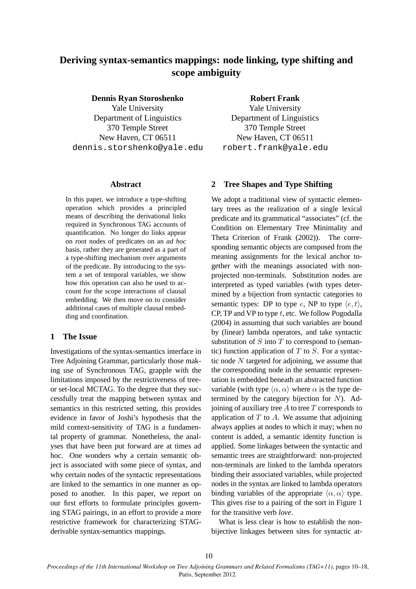# **Deriving syntax-semantics mappings: node linking, type shifting and scope ambiguity**

**Dennis Ryan Storoshenko**

Yale University Department of Linguistics 370 Temple Street New Haven, CT 06511 dennis.storshenko@yale.edu

#### **Abstract**

In this paper, we introduce a type-shifting operation which provides a principled means of describing the derivational links required in Synchronous TAG accounts of quantification. No longer do links appear on root nodes of predicates on an *ad hoc* basis, rather they are generated as a part of a type-shifting mechanism over arguments of the predicate. By introducing to the system a set of temporal variables, we show how this operation can also be used to account for the scope interactions of clausal embedding. We then move on to consider additional cases of multiple clausal embedding and coordination.

## **1 The Issue**

Investigations of the syntax-semantics interface in Tree Adjoining Grammar, particularly those making use of Synchronous TAG, grapple with the limitations imposed by the restrictiveness of treeor set-local MCTAG. To the degree that they successfully treat the mapping between syntax and semantics in this restricted setting, this provides evidence in favor of Joshi's hypothesis that the mild context-sensitivity of TAG is a fundamental property of grammar. Nonetheless, the analyses that have been put forward are at times ad hoc. One wonders why a certain semantic object is associated with some piece of syntax, and why certain nodes of the syntactic representations are linked to the semantics in one manner as opposed to another. In this paper, we report on our first efforts to formulate principles governing STAG pairings, in an effort to provide a more restrictive framework for characterizing STAGderivable syntax-semantics mappings.

**Robert Frank**

Yale University Department of Linguistics 370 Temple Street New Haven, CT 06511 robert.frank@yale.edu

## **2 Tree Shapes and Type Shifting**

We adopt a traditional view of syntactic elementary trees as the realization of a single lexical predicate and its grammatical "associates" (cf. the Condition on Elementary Tree Minimality and Theta Criterion of Frank (2002)). The corresponding semantic objects are composed from the meaning assignments for the lexical anchor together with the meanings associated with nonprojected non-terminals. Substitution nodes are interpreted as typed variables (with types determined by a bijection from syntactic categories to semantic types: DP to type e, NP to type  $\langle e, t \rangle$ , CP, TP and VP to type  $t$ , etc. We follow Pogodalla (2004) in assuming that such variables are bound by (linear) lambda operators, and take syntactic substitution of  $S$  into  $T$  to correspond to (semantic) function application of  $T$  to  $S$ . For a syntactic node  $N$  targeted for adjoining, we assume that the corresponding node in the semantic representation is embedded beneath an abstracted function variable (with type  $\langle \alpha, \alpha \rangle$  where  $\alpha$  is the type determined by the category bijection for  $N$ ). Adjoining of auxiliary tree  $A$  to tree  $T$  corresponds to application of  $T$  to  $A$ . We assume that adjoining always applies at nodes to which it may; when no content is added, a semantic identity function is applied. Some linkages between the syntactic and semantic trees are straightforward: non-projected non-terminals are linked to the lambda operators binding their associated variables, while projected nodes in the syntax are linked to lambda operators binding variables of the appropriate  $\langle \alpha, \alpha \rangle$  type. This gives rise to a pairing of the sort in Figure 1 for the transitive verb *love*.

What is less clear is how to establish the nonbijective linkages between sites for syntactic at-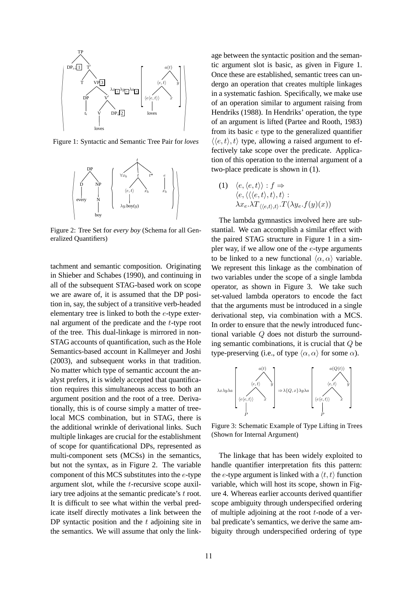

Figure 1: Syntactic and Semantic Tree Pair for *loves*



Figure 2: Tree Set for *every boy* (Schema for all Generalized Quantifiers)

tachment and semantic composition. Originating in Shieber and Schabes (1990), and continuing in all of the subsequent STAG-based work on scope we are aware of, it is assumed that the DP position in, say, the subject of a transitive verb-headed elementary tree is linked to both the e-type external argument of the predicate and the  $t$ -type root of the tree. This dual-linkage is mirrored in non-STAG accounts of quantification, such as the Hole Semantics-based account in Kallmeyer and Joshi (2003), and subsequent works in that tradition. No matter which type of semantic account the analyst prefers, it is widely accepted that quantification requires this simultaneous access to both an argument position and the root of a tree. Derivationally, this is of course simply a matter of treelocal MCS combination, but in STAG, there is the additional wrinkle of derivational links. Such multiple linkages are crucial for the establishment of scope for quantificational DPs, represented as multi-component sets (MCSs) in the semantics, but not the syntax, as in Figure 2. The variable component of this MCS substitutes into the e-type argument slot, while the t-recursive scope auxiliary tree adjoins at the semantic predicate's t root. It is difficult to see what within the verbal predicate itself directly motivates a link between the DP syntactic position and the  $t$  adjoining site in the semantics. We will assume that only the linkage between the syntactic position and the semantic argument slot is basic, as given in Figure 1. Once these are established, semantic trees can undergo an operation that creates multiple linkages in a systematic fashion. Specifically, we make use of an operation similar to argument raising from Hendriks (1988). In Hendriks' operation, the type of an argument is lifted (Partee and Rooth, 1983) from its basic e type to the generalized quantifier  $\langle \langle e, t \rangle, t \rangle$  type, allowing a raised argument to effectively take scope over the predicate. Application of this operation to the internal argument of a two-place predicate is shown in (1).

(1)  $\langle e, \langle e, t \rangle \rangle : f \Rightarrow$  $\langle e, \langle \langle \langle e, t \rangle, t \rangle, t \rangle :$  $\lambda x_{e}.\lambda T_{\langle\langle e,t\rangle,t\rangle}.T(\lambda y_{e}.f(y)(x))$ 

The lambda gymnastics involved here are substantial. We can accomplish a similar effect with the paired STAG structure in Figure 1 in a simpler way, if we allow one of the  $e$ -type arguments to be linked to a new functional  $\langle \alpha, \alpha \rangle$  variable. We represent this linkage as the combination of two variables under the scope of a single lambda operator, as shown in Figure 3. We take such set-valued lambda operators to encode the fact that the arguments must be introduced in a single derivational step, via combination with a MCS. In order to ensure that the newly introduced functional variable Q does not disturb the surrounding semantic combinations, it is crucial that Q be type-preserving (i.e., of type  $\langle \alpha, \alpha \rangle$  for some  $\alpha$ ).



Figure 3: Schematic Example of Type Lifting in Trees (Shown for Internal Argument)

The linkage that has been widely exploited to handle quantifier interpretation fits this pattern: the e-type argument is linked with a  $\langle t, t \rangle$  function variable, which will host its scope, shown in Figure 4. Whereas earlier accounts derived quantifier scope ambiguity through underspecified ordering of multiple adjoining at the root  $t$ -node of a verbal predicate's semantics, we derive the same ambiguity through underspecified ordering of type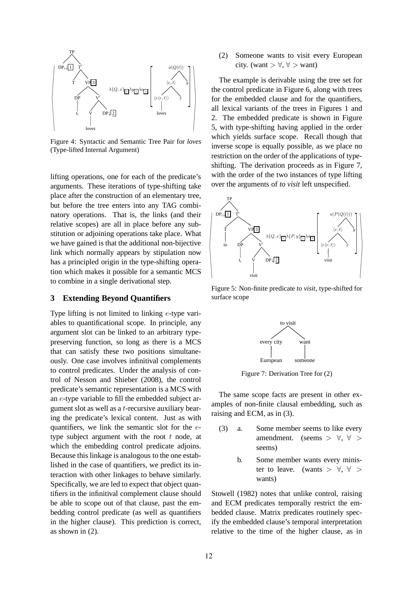

Figure 4: Syntactic and Semantic Tree Pair for *loves* (Type-lifted Internal Argument)

lifting operations, one for each of the predicate's arguments. These iterations of type-shifting take place after the construction of an elementary tree, but before the tree enters into any TAG combinatory operations. That is, the links (and their relative scopes) are all in place before any substitution or adjoining operations take place. What we have gained is that the additional non-bijective link which normally appears by stipulation now has a principled origin in the type-shifting operation which makes it possible for a semantic MCS to combine in a single derivational step.

## **3 Extending Beyond Quantifiers**

Type lifting is not limited to linking e-type variables to quantificational scope. In principle, any argument slot can be linked to an arbitrary typepreserving function, so long as there is a MCS that can satisfy these two positions simultaneously. One case involves infinitival complements to control predicates. Under the analysis of control of Nesson and Shieber (2008), the control predicate's semantic representation is a MCS with an e-type variable to fill the embedded subject argument slot as well as a t-recursive auxiliary bearing the predicate's lexical content. Just as with quantifiers, we link the semantic slot for the  $e$ type subject argument with the root  $t$  node, at which the embedding control predicate adjoins. Because this linkage is analogous to the one established in the case of quantifiers, we predict its interaction with other linkages to behave similarly. Specifically, we are led to expect that object quantifiers in the infinitival complement clause should be able to scope out of that clause, past the embedding control predicate (as well as quantifiers in the higher clause). This prediction is correct, as shown in (2).

(2) Someone wants to visit every European city. (want  $> \forall, \forall >$  want)

The example is derivable using the tree set for the control predicate in Figure 6, along with trees for the embedded clause and for the quantifiers, all lexical variants of the trees in Figures 1 and 2. The embedded predicate is shown in Figure 5, with type-shifting having applied in the order which yields surface scope. Recall though that inverse scope is equally possible, as we place no restriction on the order of the applications of typeshifting. The derivation proceeds as in Figure 7, with the order of the two instances of type lifting over the arguments of *to visit* left unspecified.



Figure 5: Non-finite predicate *to visit*, type-shifted for surface scope



Figure 7: Derivation Tree for (2)

The same scope facts are present in other examples of non-finite clausal embedding, such as raising and ECM, as in (3).

- (3) a. Some member seems to like every amendment. (seems  $> \forall, \forall >$ seems)
	- b. Some member wants every minister to leave. (wants  $> \forall$ ,  $\forall$  > wants)

Stowell (1982) notes that unlike control, raising and ECM predicates temporally restrict the embedded clause. Matrix predicates routinely specify the embedded clause's temporal interpretation relative to the time of the higher clause, as in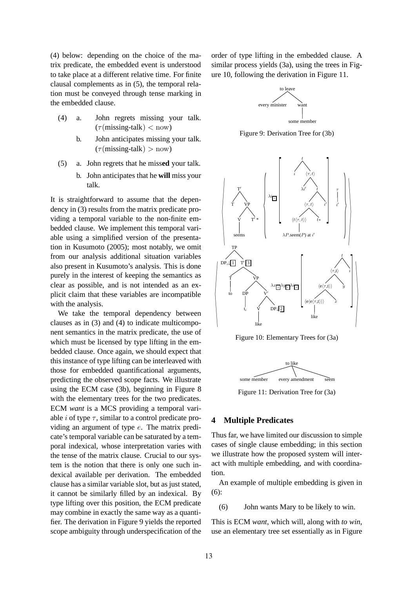(4) below: depending on the choice of the matrix predicate, the embedded event is understood to take place at a different relative time. For finite clausal complements as in (5), the temporal relation must be conveyed through tense marking in the embedded clause.

- (4) a. John regrets missing your talk.  $(\tau$ (missing-talk)  $<$  now)
	- b. John anticipates missing your talk.  $(\tau$ (missing-talk) > now)
- (5) a. John regrets that he miss**ed** your talk.
	- b. John anticipates that he **will** miss your talk.

It is straightforward to assume that the dependency in (3) results from the matrix predicate providing a temporal variable to the non-finite embedded clause. We implement this temporal variable using a simplified version of the presentation in Kusumoto (2005); most notably, we omit from our analysis additional situation variables also present in Kusumoto's analysis. This is done purely in the interest of keeping the semantics as clear as possible, and is not intended as an explicit claim that these variables are incompatible with the analysis.

We take the temporal dependency between clauses as in (3) and (4) to indicate multicomponent semantics in the matrix predicate, the use of which must be licensed by type lifting in the embedded clause. Once again, we should expect that this instance of type lifting can be interleaved with those for embedded quantificational arguments, predicting the observed scope facts. We illustrate using the ECM case (3b), beginning in Figure 8 with the elementary trees for the two predicates. ECM *want* is a MCS providing a temporal variable *i* of type  $\tau$ , similar to a control predicate providing an argument of type e. The matrix predicate's temporal variable can be saturated by a temporal indexical, whose interpretation varies with the tense of the matrix clause. Crucial to our system is the notion that there is only one such indexical available per derivation. The embedded clause has a similar variable slot, but as just stated, it cannot be similarly filled by an indexical. By type lifting over this position, the ECM predicate may combine in exactly the same way as a quantifier. The derivation in Figure 9 yields the reported scope ambiguity through underspecification of the

order of type lifting in the embedded clause. A similar process yields (3a), using the trees in Figure 10, following the derivation in Figure 11.



Figure 9: Derivation Tree for (3b)



Figure 10: Elementary Trees for (3a)



Figure 11: Derivation Tree for (3a)

## **4 Multiple Predicates**

Thus far, we have limited our discussion to simple cases of single clause embedding; in this section we illustrate how the proposed system will interact with multiple embedding, and with coordination.

An example of multiple embedding is given in (6):

(6) John wants Mary to be likely to win.

This is ECM *want*, which will, along with *to win*, use an elementary tree set essentially as in Figure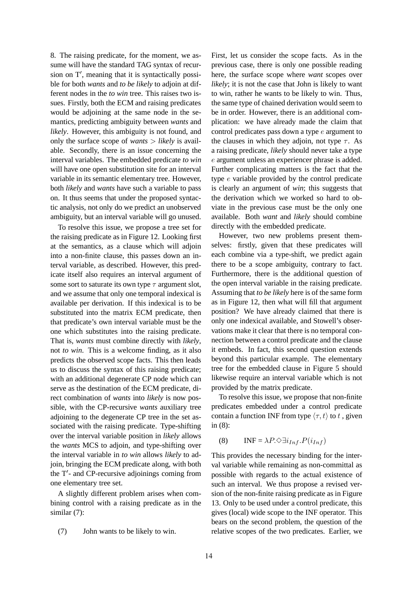8. The raising predicate, for the moment, we assume will have the standard TAG syntax of recursion on T′ , meaning that it is syntactically possible for both *wants* and *to be likely* to adjoin at different nodes in the *to win* tree. This raises two issues. Firstly, both the ECM and raising predicates would be adjoining at the same node in the semantics, predicting ambiguity between *wants* and *likely*. However, this ambiguity is not found, and only the surface scope of *wants* > *likely* is available. Secondly, there is an issue concerning the interval variables. The embedded predicate *to win* will have one open substitution site for an interval variable in its semantic elementary tree. However, both *likely* and *wants* have such a variable to pass on. It thus seems that under the proposed syntactic analysis, not only do we predict an unobserved ambiguity, but an interval variable will go unused.

To resolve this issue, we propose a tree set for the raising predicate as in Figure 12. Looking first at the semantics, as a clause which will adjoin into a non-finite clause, this passes down an interval variable, as described. However, this predicate itself also requires an interval argument of some sort to saturate its own type  $\tau$  argument slot, and we assume that only one temporal indexical is available per derivation. If this indexical is to be substituted into the matrix ECM predicate, then that predicate's own interval variable must be the one which substitutes into the raising predicate. That is, *wants* must combine directly with *likely*, not *to win*. This is a welcome finding, as it also predicts the observed scope facts. This then leads us to discuss the syntax of this raising predicate; with an additional degenerate CP node which can serve as the destination of the ECM predicate, direct combination of *wants* into *likely* is now possible, with the CP-recursive *wants* auxiliary tree adjoining to the degenerate CP tree in the set associated with the raising predicate. Type-shifting over the interval variable position in *likely* allows the *wants* MCS to adjoin, and type-shifting over the interval variable in *to win* allows *likely* to adjoin, bringing the ECM predicate along, with both the T′ - and CP-recursive adjoinings coming from one elementary tree set.

A slightly different problem arises when combining control with a raising predicate as in the similar (7):

(7) John wants to be likely to win.

First, let us consider the scope facts. As in the previous case, there is only one possible reading here, the surface scope where *want* scopes over *likely*; it is not the case that John is likely to want to win, rather he wants to be likely to win. Thus, the same type of chained derivation would seem to be in order. However, there is an additional complication: we have already made the claim that control predicates pass down a type e argument to the clauses in which they adjoin, not type  $\tau$ . As a raising predicate, *likely* should never take a type e argument unless an experiencer phrase is added. Further complicating matters is the fact that the type e variable provided by the control predicate is clearly an argument of *win*; this suggests that the derivation which we worked so hard to obviate in the previous case must be the only one available. Both *want* and *likely* should combine directly with the embedded predicate.

However, two new problems present themselves: firstly, given that these predicates will each combine via a type-shift, we predict again there to be a scope ambiguity, contrary to fact. Furthermore, there is the additional question of the open interval variable in the raising predicate. Assuming that *to be likely* here is of the same form as in Figure 12, then what will fill that argument position? We have already claimed that there is only one indexical available, and Stowell's observations make it clear that there is no temporal connection between a control predicate and the clause it embeds. In fact, this second question extends beyond this particular example. The elementary tree for the embedded clause in Figure 5 should likewise require an interval variable which is not provided by the matrix predicate.

To resolve this issue, we propose that non-finite predicates embedded under a control predicate contain a function INF from type  $\langle \tau, t \rangle$  to t, given in (8):

$$
(8) \qquad \text{INF} = \lambda P \cdot \Diamond \exists i_{Inf}. P(i_{Inf})
$$

This provides the necessary binding for the interval variable while remaining as non-committal as possible with regards to the actual existence of such an interval. We thus propose a revised version of the non-finite raising predicate as in Figure 13. Only to be used under a control predicate, this gives (local) wide scope to the INF operator. This bears on the second problem, the question of the relative scopes of the two predicates. Earlier, we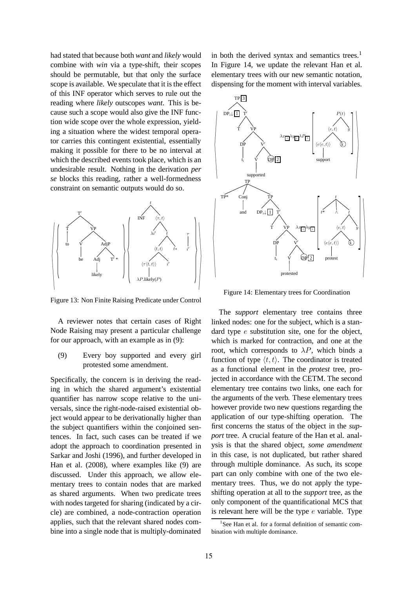had stated that because both *want* and *likely* would combine with *win* via a type-shift, their scopes should be permutable, but that only the surface scope is available. We speculate that it is the effect of this INF operator which serves to rule out the reading where *likely* outscopes *want*. This is because such a scope would also give the INF function wide scope over the whole expression, yielding a situation where the widest temporal operator carries this contingent existential, essentially making it possible for there to be no interval at which the described events took place, which is an undesirable result. Nothing in the derivation *per se* blocks this reading, rather a well-formedness constraint on semantic outputs would do so.



Figure 13: Non Finite Raising Predicate under Control

A reviewer notes that certain cases of Right Node Raising may present a particular challenge for our approach, with an example as in (9):

## (9) Every boy supported and every girl protested some amendment.

Specifically, the concern is in deriving the reading in which the shared argument's existential quantifier has narrow scope relative to the universals, since the right-node-raised existential object would appear to be derivationally higher than the subject quantifiers within the conjoined sentences. In fact, such cases can be treated if we adopt the approach to coordination presented in Sarkar and Joshi (1996), and further developed in Han et al. (2008), where examples like (9) are discussed. Under this approach, we allow elementary trees to contain nodes that are marked as shared arguments. When two predicate trees with nodes targeted for sharing (indicated by a circle) are combined, a node-contraction operation applies, such that the relevant shared nodes combine into a single node that is multiply-dominated

in both the derived syntax and semantics trees.<sup>1</sup> In Figure 14, we update the relevant Han et al. elementary trees with our new semantic notation, dispensing for the moment with interval variables.



Figure 14: Elementary trees for Coordination

The *support* elementary tree contains three linked nodes: one for the subject, which is a standard type  $e$  substitution site, one for the object, which is marked for contraction, and one at the root, which corresponds to  $\lambda P$ , which binds a function of type  $\langle t, t \rangle$ . The coordinator is treated as a functional element in the *protest* tree, projected in accordance with the CETM. The second elementary tree contains two links, one each for the arguments of the verb. These elementary trees however provide two new questions regarding the application of our type-shifting operation. The first concerns the status of the object in the *support* tree. A crucial feature of the Han et al. analysis is that the shared object, *some amendment* in this case, is not duplicated, but rather shared through multiple dominance. As such, its scope part can only combine with one of the two elementary trees. Thus, we do not apply the typeshifting operation at all to the *support* tree, as the only component of the quantificational MCS that is relevant here will be the type  $e$  variable. Type

<sup>&</sup>lt;sup>1</sup>See Han et al. for a formal definition of semantic combination with multiple dominance.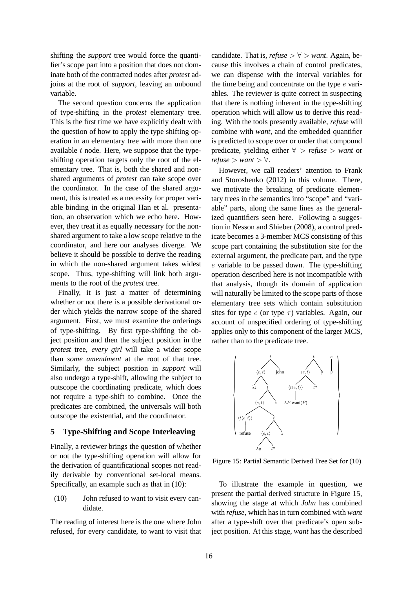shifting the *support* tree would force the quantifier's scope part into a position that does not dominate both of the contracted nodes after *protest* adjoins at the root of *support*, leaving an unbound variable.

The second question concerns the application of type-shifting in the *protest* elementary tree. This is the first time we have explicitly dealt with the question of how to apply the type shifting operation in an elementary tree with more than one available  $t$  node. Here, we suppose that the typeshifting operation targets only the root of the elementary tree. That is, both the shared and nonshared arguments of *protest* can take scope over the coordinator. In the case of the shared argument, this is treated as a necessity for proper variable binding in the original Han et al. presentation, an observation which we echo here. However, they treat it as equally necessary for the nonshared argument to take a low scope relative to the coordinator, and here our analyses diverge. We believe it should be possible to derive the reading in which the non-shared argument takes widest scope. Thus, type-shifting will link both arguments to the root of the *protest* tree.

Finally, it is just a matter of determining whether or not there is a possible derivational order which yields the narrow scope of the shared argument. First, we must examine the orderings of type-shifting. By first type-shifting the object position and then the subject position in the *protest* tree, *every girl* will take a wider scope than *some amendment* at the root of that tree. Similarly, the subject position in *support* will also undergo a type-shift, allowing the subject to outscope the coordinating predicate, which does not require a type-shift to combine. Once the predicates are combined, the universals will both outscope the existential, and the coordinator.

## **5 Type-Shifting and Scope Interleaving**

Finally, a reviewer brings the question of whether or not the type-shifting operation will allow for the derivation of quantificational scopes not readily derivable by conventional set-local means. Specifically, an example such as that in (10):

(10) John refused to want to visit every candidate.

The reading of interest here is the one where John refused, for every candidate, to want to visit that candidate. That is,  $refuse > \forall$  > *want*. Again, because this involves a chain of control predicates, we can dispense with the interval variables for the time being and concentrate on the type e variables. The reviewer is quite correct in suspecting that there is nothing inherent in the type-shifting operation which will allow us to derive this reading. With the tools presently available, *refuse* will combine with *want*, and the embedded quantifier is predicted to scope over or under that compound predicate, yielding either ∀ > *refuse* > *want* or  $refuse > want > \forall.$ 

However, we call readers' attention to Frank and Storoshenko (2012) in this volume. There, we motivate the breaking of predicate elementary trees in the semantics into "scope" and "variable" parts, along the same lines as the generalized quantifiers seen here. Following a suggestion in Nesson and Shieber (2008), a control predicate becomes a 3-member MCS consisting of this scope part containing the substitution site for the external argument, the predicate part, and the type e variable to be passed down. The type-shifting operation described here is not incompatible with that analysis, though its domain of application will naturally be limited to the scope parts of those elementary tree sets which contain substitution sites for type  $e$  (or type  $\tau$ ) variables. Again, our account of unspecified ordering of type-shifting applies only to this component of the larger MCS, rather than to the predicate tree.



Figure 15: Partial Semantic Derived Tree Set for (10)

To illustrate the example in question, we present the partial derived structure in Figure 15, showing the stage at which *John* has combined with *refuse*, which has in turn combined with *want* after a type-shift over that predicate's open subject position. At this stage, *want* has the described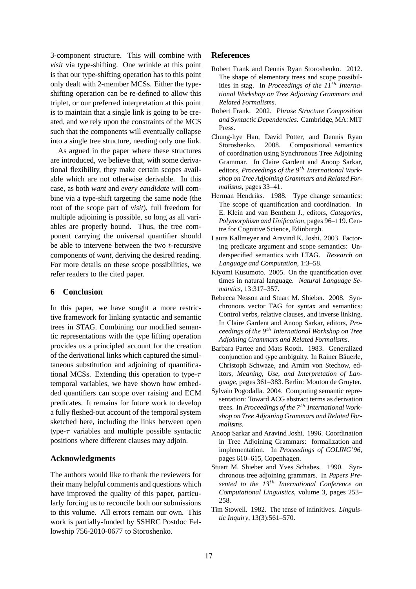3-component structure. This will combine with *visit* via type-shifting. One wrinkle at this point is that our type-shifting operation has to this point only dealt with 2-member MCSs. Either the typeshifting operation can be re-defined to allow this triplet, or our preferred interpretation at this point is to maintain that a single link is going to be created, and we rely upon the constraints of the MCS such that the components will eventually collapse into a single tree structure, needing only one link.

As argued in the paper where these structures are introduced, we believe that, with some derivational flexibility, they make certain scopes available which are not otherwise derivable. In this case, as both *want* and *every candidate* will combine via a type-shift targeting the same node (the root of the scope part of *visit*), full freedom for multiple adjoining is possible, so long as all variables are properly bound. Thus, the tree component carrying the universal quantifier should be able to intervene between the two  $t$ -recursive components of *want*, deriving the desired reading. For more details on these scope possibilities, we refer readers to the cited paper.

## **6 Conclusion**

In this paper, we have sought a more restrictive framework for linking syntactic and semantic trees in STAG. Combining our modified semantic representations with the type lifting operation provides us a principled account for the creation of the derivational links which captured the simultaneous substitution and adjoining of quantificational MCSs. Extending this operation to type- $\tau$ temporal variables, we have shown how embedded quantifiers can scope over raising and ECM predicates. It remains for future work to develop a fully fleshed-out account of the temporal system sketched here, including the links between open type- $\tau$  variables and multiple possible syntactic positions where different clauses may adjoin.

## **Acknowledgments**

The authors would like to thank the reviewers for their many helpful comments and questions which have improved the quality of this paper, particularly forcing us to reconcile both our submissions to this volume. All errors remain our own. This work is partially-funded by SSHRC Postdoc Fellowship 756-2010-0677 to Storoshenko.

## **References**

- Robert Frank and Dennis Ryan Storoshenko. 2012. The shape of elementary trees and scope possibilities in stag. In *Proceedings of the 11*th *International Workshop on Tree Adjoining Grammars and Related Formalisms*.
- Robert Frank. 2002. *Phrase Structure Composition and Syntactic Dependencies*. Cambridge, MA: MIT Press.
- Chung-hye Han, David Potter, and Dennis Ryan Storoshenko. 2008. Compositional semantics of coordination using Synchronous Tree Adjoining Grammar. In Claire Gardent and Anoop Sarkar, editors, *Proceedings of the 9*th *International Workshop on Tree Adjoining Grammars and Related Formalisms*, pages 33–41.
- Herman Hendriks. 1988. Type change semantics: The scope of quantification and coordination. In E. Klein and van Benthem J., editors, *Categories, Polymorphism and Unification*, pages 96–119. Centre for Cognitive Science, Edinburgh.
- Laura Kallmeyer and Aravind K. Joshi. 2003. Factoring predicate argument and scope semantics: Underspecified semantics with LTAG. *Research on Language and Computation*, 1:3–58.
- Kiyomi Kusumoto. 2005. On the quantification over times in natural language. *Natural Language Semantics*, 13:317–357.
- Rebecca Nesson and Stuart M. Shieber. 2008. Synchronous vector TAG for syntax and semantics: Control verbs, relative clauses, and inverse linking. In Claire Gardent and Anoop Sarkar, editors, *Proceedings of the 9*th *International Workshop on Tree Adjoining Grammars and Related Formalisms*.
- Barbara Partee and Mats Rooth. 1983. Generalized conjunction and type ambiguity. In Rainer Bäuerle, Christoph Schwaze, and Arnim von Stechow, editors, *Meaning, Use, and Interpretation of Language*, pages 361–383. Berlin: Mouton de Gruyter.
- Sylvain Pogodalla. 2004. Computing semantic representation: Toward ACG abstract terms as derivation trees. In *Proceedings of the 7*th *International Workshop on Tree Adjoining Grammars and Related Formalisms*.
- Anoop Sarkar and Aravind Joshi. 1996. Coordination in Tree Adjoining Grammars: formalization and implementation. In *Proceedings of COLING'96*, pages 610–615, Copenhagen.
- Stuart M. Shieber and Yves Schabes. 1990. Synchronous tree adjoining grammars. In *Papers Presented to the 13*th *International Conference on Computational Linguistics*, volume 3, pages 253– 258.
- Tim Stowell. 1982. The tense of infinitives. *Linguistic Inquiry*, 13(3):561–570.